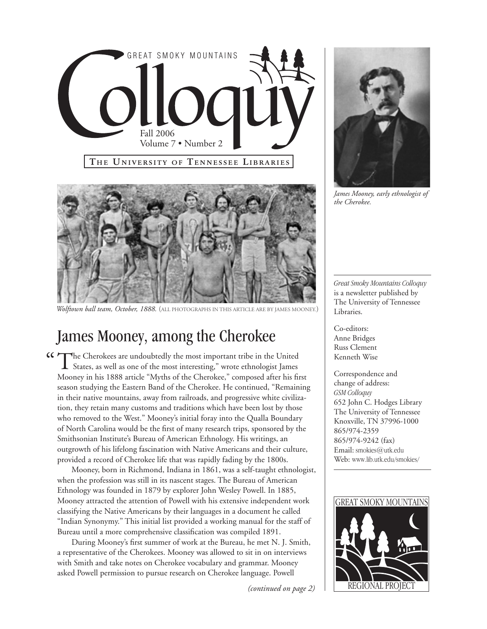



*Wolftown ball team, October, 1888.* (all photographs in this article are by james mooney.)

# James Mooney, among the Cherokee

The Cherokees are undoubtedly the most important tribe in the United States, as well as one of the most interesting," wrote ethnologist James Mooney in his 1888 article "Myths of the Cherokee," composed after his first season studying the Eastern Band of the Cherokee. He continued, "Remaining in their native mountains, away from railroads, and progressive white civilization, they retain many customs and traditions which have been lost by those who removed to the West." Mooney's initial foray into the Qualla Boundary of North Carolina would be the first of many research trips, sponsored by the Smithsonian Institute's Bureau of American Ethnology. His writings, an outgrowth of his lifelong fascination with Native Americans and their culture, provided a record of Cherokee life that was rapidly fading by the 1800s. <sup>"</sup> The Cherokees are undoubtedly the most important tribe in the United

Mooney, born in Richmond, Indiana in 1861, was a self-taught ethnologist, when the profession was still in its nascent stages. The Bureau of American Ethnology was founded in 1879 by explorer John Wesley Powell. In 1885, Mooney attracted the attention of Powell with his extensive independent work classifying the Native Americans by their languages in a document he called "Indian Synonymy." This initial list provided a working manual for the staff of Bureau until a more comprehensive classification was compiled 1891.

During Mooney's first summer of work at the Bureau, he met N. J. Smith, a representative of the Cherokees. Mooney was allowed to sit in on interviews with Smith and take notes on Cherokee vocabulary and grammar. Mooney asked Powell permission to pursue research on Cherokee language. Powell

*(continued on page 2)*



*James Mooney, early ethnologist of the Cherokee.*

*Great Smoky Mountains Colloquy*  is a newsletter published by The University of Tennessee Libraries.

Co-editors: Anne Bridges Russ Clement Kenneth Wise

Correspondence and change of address: *GSM Colloquy* 652 John C. Hodges Library The University of Tennessee Knoxville, TN 37996-1000 865/974-2359 865/974-9242 (fax) Email: smokies@utk.edu Web: www.lib.utk.edu/smokies/

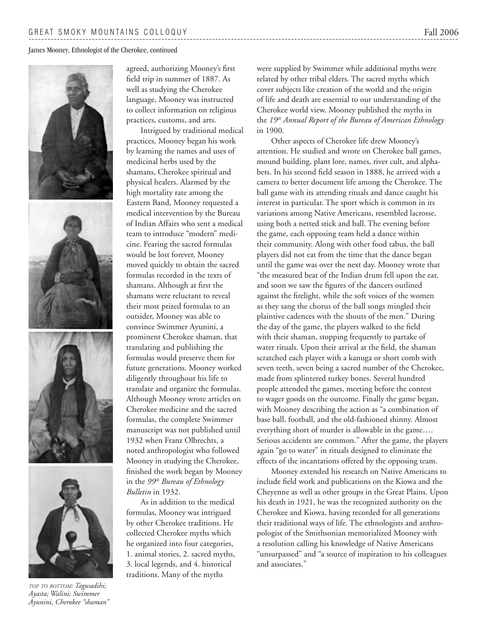James Mooney, Ethnologist of the Cherokee, continued









*top to bottom: Tagwadihi; Ayasta; Walini; Swimmer Ayunini, Cherokee "shaman"*

agreed, authorizing Mooney's first field trip in summer of 1887. As well as studying the Cherokee language, Mooney was instructed to collect information on religious practices, customs, and arts.

Intrigued by traditional medical practices, Mooney began his work by learning the names and uses of medicinal herbs used by the shamans, Cherokee spiritual and physical healers. Alarmed by the high mortality rate among the Eastern Band, Mooney requested a medical intervention by the Bureau of Indian Affairs who sent a medical team to introduce "modern" medicine. Fearing the sacred formulas would be lost forever, Mooney moved quickly to obtain the sacred formulas recorded in the texts of shamans. Although at first the shamans were reluctant to reveal their most prized formulas to an outsider, Mooney was able to convince Swimmer Ayunini, a prominent Cherokee shaman, that translating and publishing the formulas would preserve them for future generations. Mooney worked diligently throughout his life to translate and organize the formulas. Although Mooney wrote articles on Cherokee medicine and the sacred formulas, the complete Swimmer manuscript was not published until 1932 when Franz Olbrechts, a noted anthropologist who followed Mooney in studying the Cherokee, finished the work began by Mooney in the *99th Bureau of Ethnology Bulletin* in 1932.

As in addition to the medical formulas, Mooney was intrigued by other Cherokee traditions. He collected Cherokee myths which he organized into four categories, 1. animal stories, 2. sacred myths, 3. local legends, and 4. historical traditions. Many of the myths

were supplied by Swimmer while additional myths were related by other tribal elders. The sacred myths which cover subjects like creation of the world and the origin of life and death are essential to our understanding of the Cherokee world view. Mooney published the myths in the *19th Annual Report of the Bureau of American Ethnology* in 1900.

Other aspects of Cherokee life drew Mooney's attention. He studied and wrote on Cherokee ball games, mound building, plant lore, names, river cult, and alphabets. In his second field season in 1888, he arrived with a camera to better document life among the Cherokee. The ball game with its attending rituals and dance caught his interest in particular. The sport which is common in its variations among Native Americans, resembled lacrosse, using both a netted stick and ball. The evening before the game, each opposing team held a dance within their community. Along with other food tabus, the ball players did not eat from the time that the dance began until the game was over the next day. Mooney wrote that "the measured beat of the Indian drum fell upon the ear, and soon we saw the figures of the dancers outlined against the firelight, while the soft voices of the women as they sang the chorus of the ball songs mingled their plaintive cadences with the shouts of the men." During the day of the game, the players walked to the field with their shaman, stopping frequently to partake of water rituals. Upon their arrival at the field, the shaman scratched each player with a kanuga or short comb with seven teeth, seven being a sacred number of the Cherokee, made from splintered turkey bones. Several hundred people attended the games, meeting before the contest to wager goods on the outcome. Finally the game began, with Mooney describing the action as "a combination of base ball, football, and the old-fashioned shinny. Almost everything short of murder is allowable in the game…. Serious accidents are common." After the game, the players again "go to water" in rituals designed to eliminate the effects of the incantations offered by the opposing team.

Mooney extended his research on Native Americans to include field work and publications on the Kiowa and the Cheyenne as well as other groups in the Great Plains. Upon his death in 1921, he was the recognized authority on the Cherokee and Kiowa, having recorded for all generations their traditional ways of life. The ethnologists and anthropologist of the Smithsonian memorialized Mooney with a resolution calling his knowledge of Native Americans "unsurpassed" and "a source of inspiration to his colleagues and associates."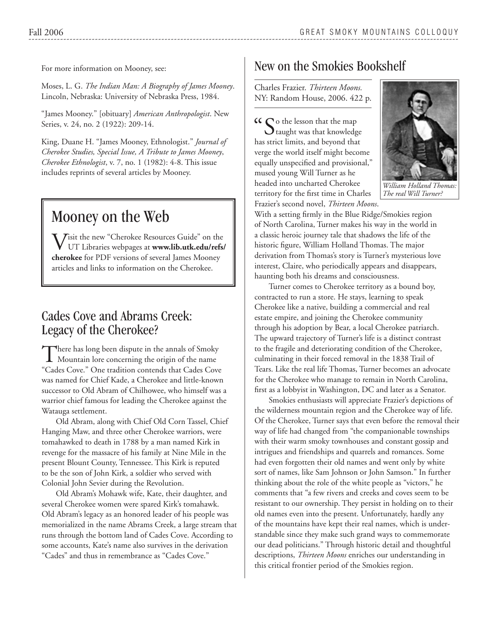For more information on Mooney, see:

Moses, L. G. *The Indian Man: A Biography of James Mooney*. Lincoln, Nebraska: University of Nebraska Press, 1984.

"James Mooney." [obituary] *American Anthropologist*. New Series, v. 24, no. 2 (1922): 209-14.

King, Duane H. "James Mooney, Ethnologist." *Journal of Cherokee Studies, Special Issue, A Tribute to James Mooney*, *Cherokee Ethnologist*, v. 7, no. 1 (1982): 4-8. This issue includes reprints of several articles by Mooney.

# Mooney on the Web

 $V$ isit the new "Cherokee Resources Guide" on the UTT Libraries  $-$  ' UT Libraries webpages at **www.lib.utk.edu/refs/ cherokee** for PDF versions of several James Mooney articles and links to information on the Cherokee.

### Cades Cove and Abrams Creek: Legacy of the Cherokee?

There has long been dispute in the annals of Smoky Mountain lore concerning the origin of the name "Cades Cove." One tradition contends that Cades Cove was named for Chief Kade, a Cherokee and little-known successor to Old Abram of Chilhowee, who himself was a warrior chief famous for leading the Cherokee against the Watauga settlement.

Old Abram, along with Chief Old Corn Tassel, Chief Hanging Maw, and three other Cherokee warriors, were tomahawked to death in 1788 by a man named Kirk in revenge for the massacre of his family at Nine Mile in the present Blount County, Tennessee. This Kirk is reputed to be the son of John Kirk, a soldier who served with Colonial John Sevier during the Revolution.

Old Abram's Mohawk wife, Kate, their daughter, and several Cherokee women were spared Kirk's tomahawk. Old Abram's legacy as an honored leader of his people was memorialized in the name Abrams Creek, a large stream that runs through the bottom land of Cades Cove. According to some accounts, Kate's name also survives in the derivation "Cades" and thus in remembrance as "Cades Cove."

## New on the Smokies Bookshelf

Charles Frazier. *Thirteen Moons.* NY: Random House, 2006. 422 p.

**"CE** So the lesson that the map taught was that knowledged  $\bigcup$  taught was that knowledge has strict limits, and beyond that verge the world itself might become equally unspecified and provisional," mused young Will Turner as he headed into uncharted Cherokee territory for the first time in Charles Frazier's second novel, *Thirteen Moons*.



*William Holland Thomas: The real Will Turner?*

With a setting firmly in the Blue Ridge/Smokies region of North Carolina, Turner makes his way in the world in a classic heroic journey tale that shadows the life of the historic figure, William Holland Thomas. The major derivation from Thomas's story is Turner's mysterious love interest, Claire, who periodically appears and disappears, haunting both his dreams and consciousness.

Turner comes to Cherokee territory as a bound boy, contracted to run a store. He stays, learning to speak Cherokee like a native, building a commercial and real estate empire, and joining the Cherokee community through his adoption by Bear, a local Cherokee patriarch. The upward trajectory of Turner's life is a distinct contrast to the fragile and deteriorating condition of the Cherokee, culminating in their forced removal in the 1838 Trail of Tears. Like the real life Thomas, Turner becomes an advocate for the Cherokee who manage to remain in North Carolina, first as a lobbyist in Washington, DC and later as a Senator.

Smokies enthusiasts will appreciate Frazier's depictions of the wilderness mountain region and the Cherokee way of life. Of the Cherokee, Turner says that even before the removal their way of life had changed from "the companionable townships with their warm smoky townhouses and constant gossip and intrigues and friendships and quarrels and romances. Some had even forgotten their old names and went only by white sort of names, like Sam Johnson or John Samson." In further thinking about the role of the white people as "victors," he comments that "a few rivers and creeks and coves seem to be resistant to our ownership. They persist in holding on to their old names even into the present. Unfortunately, hardly any of the mountains have kept their real names, which is understandable since they make such grand ways to commemorate our dead politicians." Through historic detail and thoughtful descriptions, *Thirteen Moons* enriches our understanding in this critical frontier period of the Smokies region.